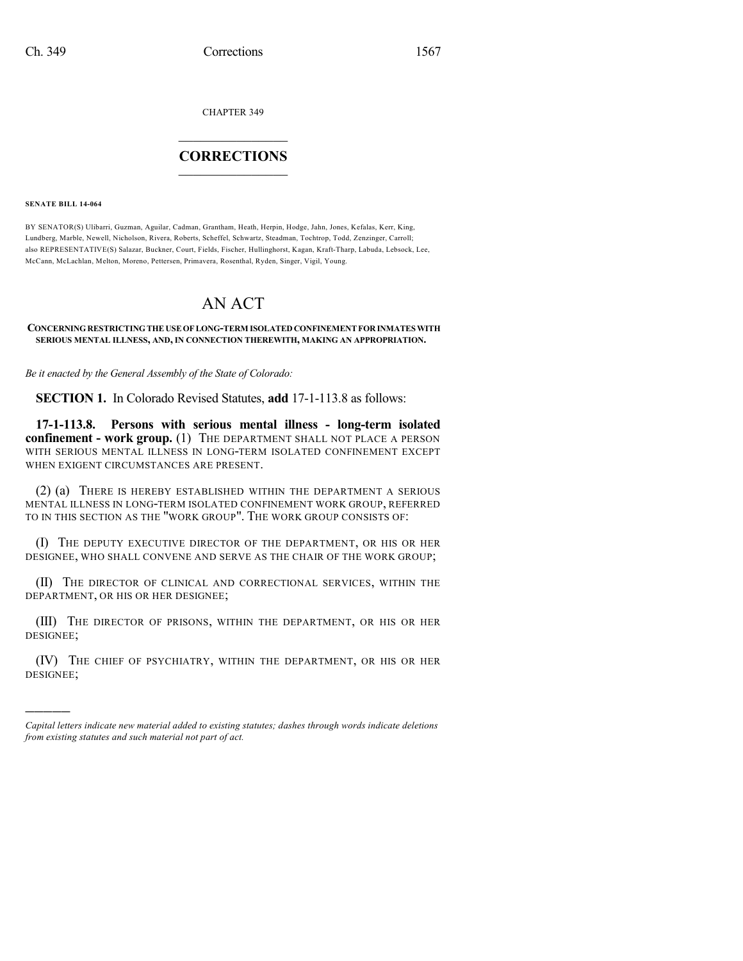CHAPTER 349

## $\mathcal{L}_\text{max}$  . The set of the set of the set of the set of the set of the set of the set of the set of the set of the set of the set of the set of the set of the set of the set of the set of the set of the set of the set **CORRECTIONS**  $\frac{1}{2}$  ,  $\frac{1}{2}$  ,  $\frac{1}{2}$  ,  $\frac{1}{2}$  ,  $\frac{1}{2}$  ,  $\frac{1}{2}$

**SENATE BILL 14-064**

)))))

BY SENATOR(S) Ulibarri, Guzman, Aguilar, Cadman, Grantham, Heath, Herpin, Hodge, Jahn, Jones, Kefalas, Kerr, King, Lundberg, Marble, Newell, Nicholson, Rivera, Roberts, Scheffel, Schwartz, Steadman, Tochtrop, Todd, Zenzinger, Carroll; also REPRESENTATIVE(S) Salazar, Buckner, Court, Fields, Fischer, Hullinghorst, Kagan, Kraft-Tharp, Labuda, Lebsock, Lee, McCann, McLachlan, Melton, Moreno, Pettersen, Primavera, Rosenthal, Ryden, Singer, Vigil, Young.

## AN ACT

## **CONCERNINGRESTRICTINGTHEUSEOFLONG-TERM ISOLATEDCONFINEMENTFORINMATESWITH SERIOUS MENTAL ILLNESS, AND, IN CONNECTION THEREWITH, MAKING AN APPROPRIATION.**

*Be it enacted by the General Assembly of the State of Colorado:*

**SECTION 1.** In Colorado Revised Statutes, **add** 17-1-113.8 as follows:

**17-1-113.8. Persons with serious mental illness - long-term isolated confinement - work group.** (1) THE DEPARTMENT SHALL NOT PLACE A PERSON WITH SERIOUS MENTAL ILLNESS IN LONG-TERM ISOLATED CONFINEMENT EXCEPT WHEN EXIGENT CIRCUMSTANCES ARE PRESENT.

(2) (a) THERE IS HEREBY ESTABLISHED WITHIN THE DEPARTMENT A SERIOUS MENTAL ILLNESS IN LONG-TERM ISOLATED CONFINEMENT WORK GROUP, REFERRED TO IN THIS SECTION AS THE "WORK GROUP". THE WORK GROUP CONSISTS OF:

(I) THE DEPUTY EXECUTIVE DIRECTOR OF THE DEPARTMENT, OR HIS OR HER DESIGNEE, WHO SHALL CONVENE AND SERVE AS THE CHAIR OF THE WORK GROUP;

(II) THE DIRECTOR OF CLINICAL AND CORRECTIONAL SERVICES, WITHIN THE DEPARTMENT, OR HIS OR HER DESIGNEE;

(III) THE DIRECTOR OF PRISONS, WITHIN THE DEPARTMENT, OR HIS OR HER DESIGNEE;

(IV) THE CHIEF OF PSYCHIATRY, WITHIN THE DEPARTMENT, OR HIS OR HER DESIGNEE;

*Capital letters indicate new material added to existing statutes; dashes through words indicate deletions from existing statutes and such material not part of act.*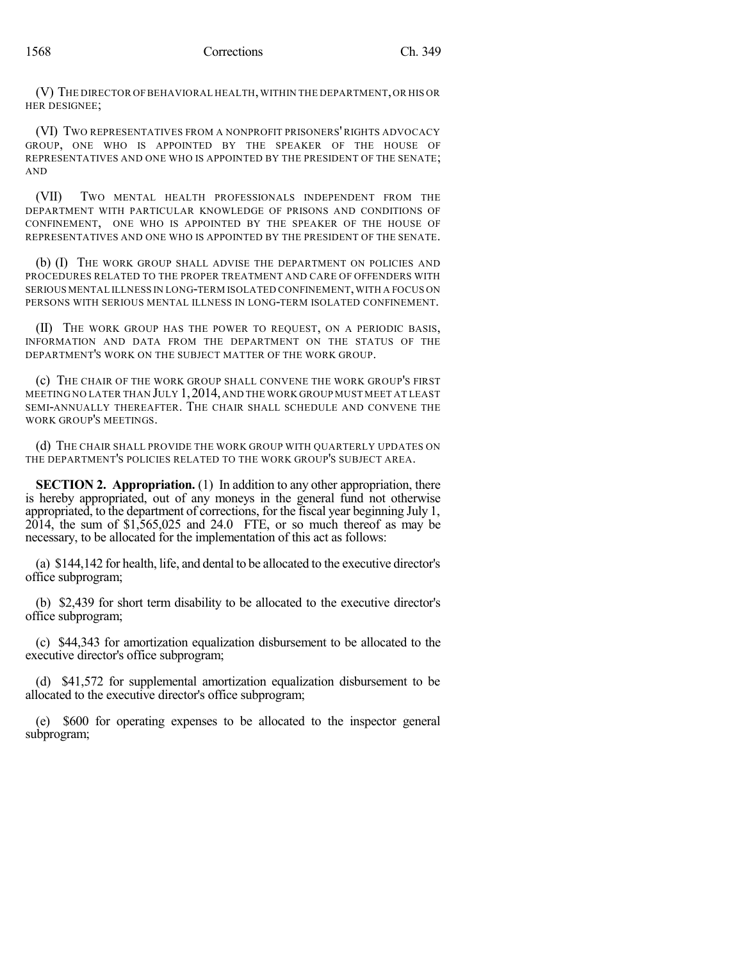(V) THE DIRECTOR OF BEHAVIORAL HEALTH,WITHIN THE DEPARTMENT,OR HIS OR HER DESIGNEE;

(VI) TWO REPRESENTATIVES FROM A NONPROFIT PRISONERS' RIGHTS ADVOCACY GROUP, ONE WHO IS APPOINTED BY THE SPEAKER OF THE HOUSE OF REPRESENTATIVES AND ONE WHO IS APPOINTED BY THE PRESIDENT OF THE SENATE; AND

(VII) TWO MENTAL HEALTH PROFESSIONALS INDEPENDENT FROM THE DEPARTMENT WITH PARTICULAR KNOWLEDGE OF PRISONS AND CONDITIONS OF CONFINEMENT, ONE WHO IS APPOINTED BY THE SPEAKER OF THE HOUSE OF REPRESENTATIVES AND ONE WHO IS APPOINTED BY THE PRESIDENT OF THE SENATE.

(b) (I) THE WORK GROUP SHALL ADVISE THE DEPARTMENT ON POLICIES AND PROCEDURES RELATED TO THE PROPER TREATMENT AND CARE OF OFFENDERS WITH SERIOUS MENTAL ILLNESS IN LONG-TERM ISOLATED CONFINEMENT,WITH A FOCUS ON PERSONS WITH SERIOUS MENTAL ILLNESS IN LONG-TERM ISOLATED CONFINEMENT.

(II) THE WORK GROUP HAS THE POWER TO REQUEST, ON A PERIODIC BASIS, INFORMATION AND DATA FROM THE DEPARTMENT ON THE STATUS OF THE DEPARTMENT'S WORK ON THE SUBJECT MATTER OF THE WORK GROUP.

(c) THE CHAIR OF THE WORK GROUP SHALL CONVENE THE WORK GROUP'S FIRST MEETING NO LATER THAN JULY 1,2014, AND THE WORK GROUP MUST MEET AT LEAST SEMI-ANNUALLY THEREAFTER. THE CHAIR SHALL SCHEDULE AND CONVENE THE WORK GROUP'S MEETINGS.

(d) THE CHAIR SHALL PROVIDE THE WORK GROUP WITH QUARTERLY UPDATES ON THE DEPARTMENT'S POLICIES RELATED TO THE WORK GROUP'S SUBJECT AREA.

**SECTION 2. Appropriation.** (1) In addition to any other appropriation, there is hereby appropriated, out of any moneys in the general fund not otherwise appropriated, to the department of corrections, for the fiscal year beginning July 1,  $2014$ , the sum of \$1,565,025 and 24.0 FTE, or so much thereof as may be necessary, to be allocated for the implementation of this act as follows:

(a) \$144,142 for health, life, and dental to be allocated to the executive director's office subprogram;

(b) \$2,439 for short term disability to be allocated to the executive director's office subprogram;

(c) \$44,343 for amortization equalization disbursement to be allocated to the executive director's office subprogram;

(d) \$41,572 for supplemental amortization equalization disbursement to be allocated to the executive director's office subprogram;

(e) \$600 for operating expenses to be allocated to the inspector general subprogram;